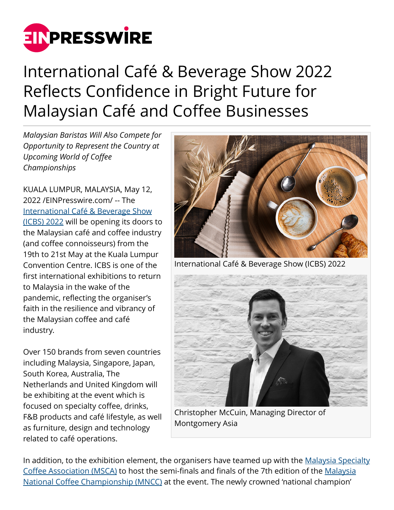

## International Café & Beverage Show 2022 Reflects Confidence in Bright Future for Malaysian Café and Coffee Businesses

*Malaysian Baristas Will Also Compete for Opportunity to Represent the Country at Upcoming World of Coffee Championships*

KUALA LUMPUR, MALAYSIA, May 12, 2022 /[EINPresswire.com](http://www.einpresswire.com)/ -- The [International Café & Beverage Show](https://www.intl-cbs.com/) [\(ICBS\) 2022](https://www.intl-cbs.com/) will be opening its doors to the Malaysian café and coffee industry (and coffee connoisseurs) from the 19th to 21st May at the Kuala Lumpur Convention Centre. ICBS is one of the first international exhibitions to return to Malaysia in the wake of the pandemic, reflecting the organiser's faith in the resilience and vibrancy of the Malaysian coffee and café industry.

Over 150 brands from seven countries including Malaysia, Singapore, Japan, South Korea, Australia, The Netherlands and United Kingdom will be exhibiting at the event which is focused on specialty coffee, drinks, F&B products and café lifestyle, as well as furniture, design and technology related to café operations.



International Café & Beverage Show (ICBS) 2022



Christopher McCuin, Managing Director of Montgomery Asia

In addition, to the exhibition element, the organisers have teamed up with the [Malaysia Specialty](https://www.msca.org.my/) [Coffee Association \(MSCA\)](https://www.msca.org.my/) to host the semi-finals and finals of the 7th edition of the [Malaysia](https://www.intl-cbs.com/mncc-2022) [National Coffee Championship \(MNCC\)](https://www.intl-cbs.com/mncc-2022) at the event. The newly crowned 'national champion'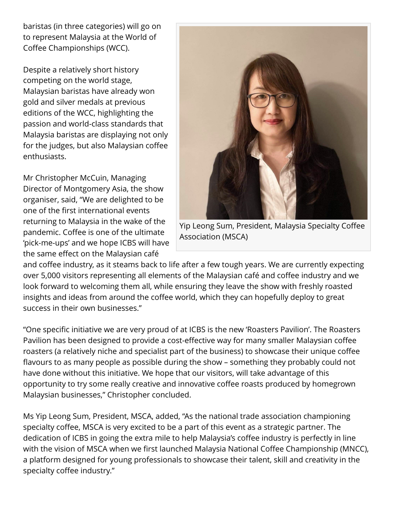baristas (in three categories) will go on to represent Malaysia at the World of Coffee Championships (WCC).

Despite a relatively short history competing on the world stage, Malaysian baristas have already won gold and silver medals at previous editions of the WCC, highlighting the passion and world-class standards that Malaysia baristas are displaying not only for the judges, but also Malaysian coffee enthusiasts.

Mr Christopher McCuin, Managing Director of Montgomery Asia, the show organiser, said, "We are delighted to be one of the first international events returning to Malaysia in the wake of the pandemic. Coffee is one of the ultimate 'pick-me-ups' and we hope ICBS will have the same effect on the Malaysian café



Yip Leong Sum, President, Malaysia Specialty Coffee Association (MSCA)

and coffee industry, as it steams back to life after a few tough years. We are currently expecting over 5,000 visitors representing all elements of the Malaysian café and coffee industry and we look forward to welcoming them all, while ensuring they leave the show with freshly roasted insights and ideas from around the coffee world, which they can hopefully deploy to great success in their own businesses."

"One specific initiative we are very proud of at ICBS is the new 'Roasters Pavilion'. The Roasters Pavilion has been designed to provide a cost-effective way for many smaller Malaysian coffee roasters (a relatively niche and specialist part of the business) to showcase their unique coffee flavours to as many people as possible during the show – something they probably could not have done without this initiative. We hope that our visitors, will take advantage of this opportunity to try some really creative and innovative coffee roasts produced by homegrown Malaysian businesses," Christopher concluded.

Ms Yip Leong Sum, President, MSCA, added, "As the national trade association championing specialty coffee, MSCA is very excited to be a part of this event as a strategic partner. The dedication of ICBS in going the extra mile to help Malaysia's coffee industry is perfectly in line with the vision of MSCA when we first launched Malaysia National Coffee Championship (MNCC), a platform designed for young professionals to showcase their talent, skill and creativity in the specialty coffee industry."